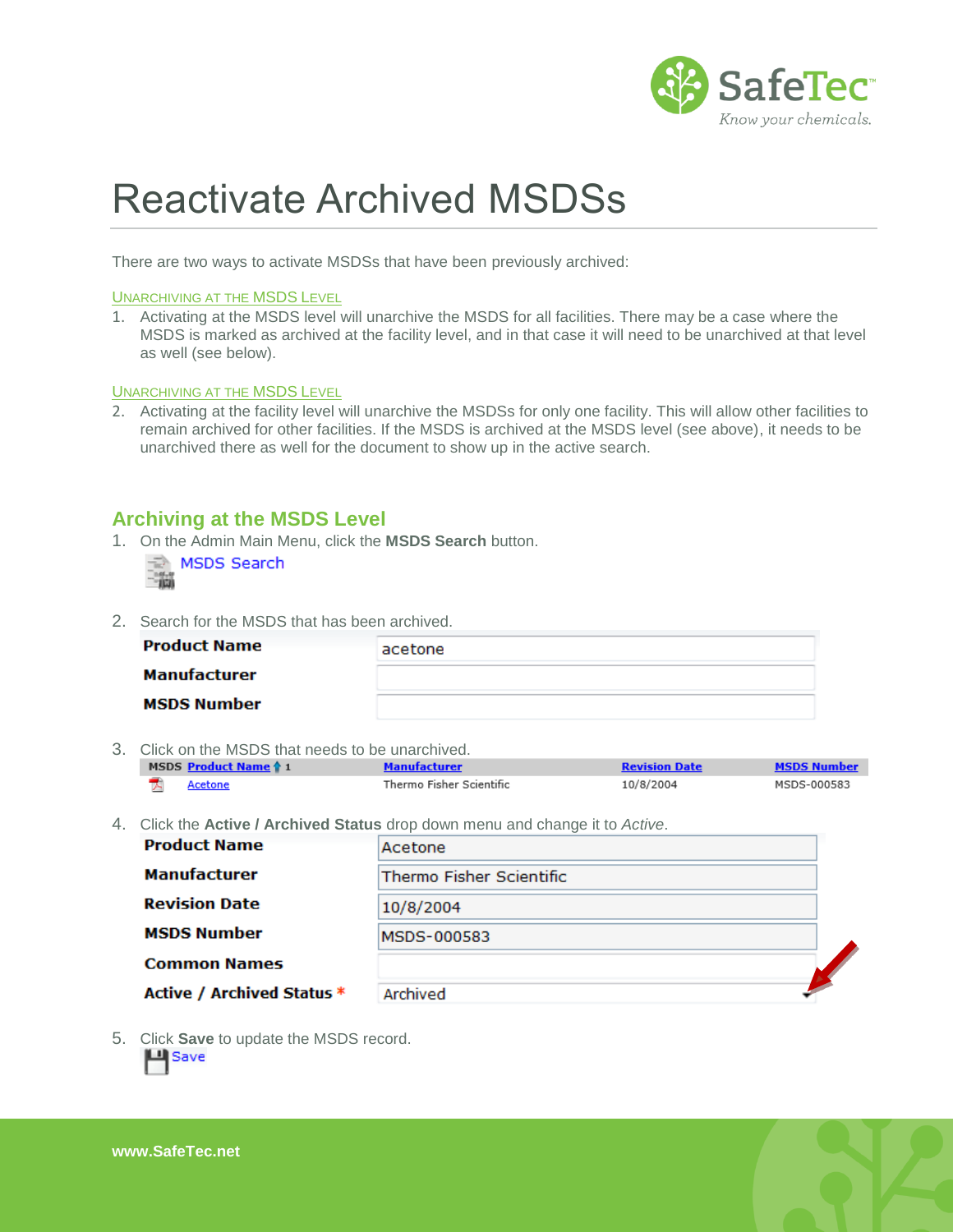

# Reactivate Archived MSDSs

There are two ways to activate MSDSs that have been previously archived:

#### UNARCHIVING AT THE MSDS LEVEL

1. Activating at the MSDS level will unarchive the MSDS for all facilities. There may be a case where the MSDS is marked as archived at the facility level, and in that case it will need to be unarchived at that level as well (see below).

#### **UNARCHIVING AT THE MSDS LEVEL**

2. Activating at the facility level will unarchive the MSDSs for only one facility. This will allow other facilities to remain archived for other facilities. If the MSDS is archived at the MSDS level (see above), it needs to be unarchived there as well for the document to show up in the active search.

### **Archiving at the MSDS Level**

1. On the Admin Main Menu, click the **MSDS Search** button.

|  | MSDS Search |
|--|-------------|
|  |             |

2. Search for the MSDS that has been archived.

| <b>Product Name</b> | acetone |
|---------------------|---------|
| Manufacturer        |         |
| <b>MSDS Number</b>  |         |

3. Click on the MSDS that needs to be unarchived.

| MSDS Product Name 1 | <b>Manufacturer</b>      | <b>Revision Date</b> | <b>MSDS Number</b> |
|---------------------|--------------------------|----------------------|--------------------|
| Acetone             | Thermo Fisher Scientific | 10/8/2004            | MSDS-000583        |

4. Click the **Active / Archived Status** drop down menu and change it to *Active*.

| <b>Product Name</b>        | Acetone                  |  |
|----------------------------|--------------------------|--|
| <b>Manufacturer</b>        | Thermo Fisher Scientific |  |
| <b>Revision Date</b>       | 10/8/2004                |  |
| <b>MSDS Number</b>         | MSDS-000583              |  |
| <b>Common Names</b>        |                          |  |
| Active / Archived Status * | Archived                 |  |

5. Click **Save** to update the MSDS record.

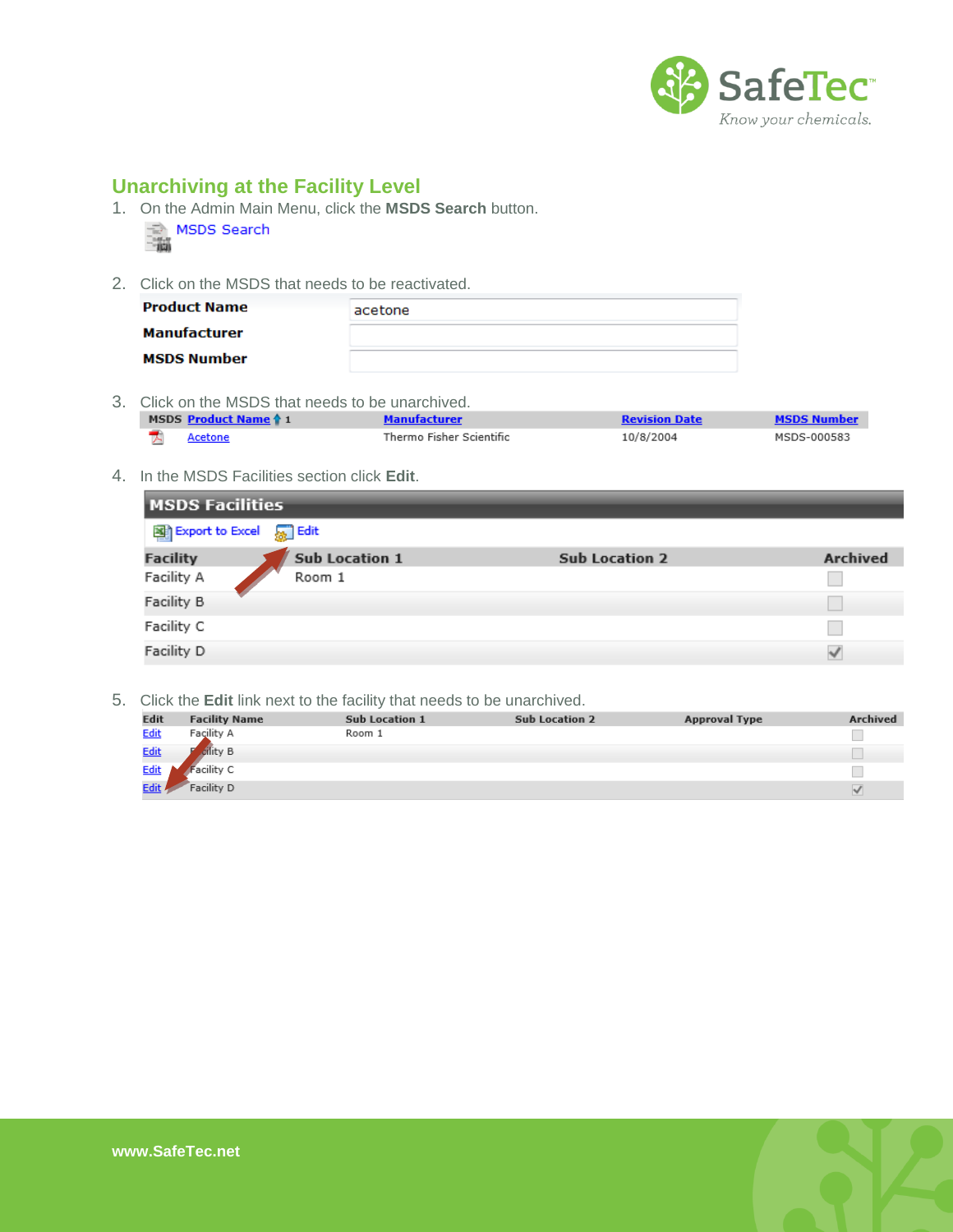

## **Unarchiving at the Facility Level**

1. On the Admin Main Menu, click the **MSDS Search** button. MSDS Search



2. Click on the MSDS that needs to be reactivated.

| <b>Product Name</b> | acetone |
|---------------------|---------|
| Manufacturer        |         |
| <b>MSDS Number</b>  |         |

3. Click on the MSDS that needs to be unarchived.

| MSDS Product Name 4 1 | Manufacturer             | Revision Date |             |
|-----------------------|--------------------------|---------------|-------------|
|                       | Thermo Fisher Scientific | 10/8/2004     | MSDS-000583 |

4. In the MSDS Facilities section click **Edit**.

| <b>MSDS Facilities</b> |                       |                       |                 |  |  |
|------------------------|-----------------------|-----------------------|-----------------|--|--|
| 图 Export to Excel      | <b>Solut</b> Edit     |                       |                 |  |  |
| <b>Facility</b>        | <b>Sub Location 1</b> | <b>Sub Location 2</b> | <b>Archived</b> |  |  |
| Facility A             | Room 1                |                       |                 |  |  |
| Facility B             |                       |                       |                 |  |  |
| Facility C             |                       |                       |                 |  |  |
| Facility D             |                       |                       | $\checkmark$    |  |  |

5. Click the **Edit** link next to the facility that needs to be unarchived.

| <b>Edit</b> | <b>Facility Name</b> | <b>Sub Location 1</b> | <b>Sub Location 2</b> | <b>Approval Type</b> | Archived |
|-------------|----------------------|-----------------------|-----------------------|----------------------|----------|
| <b>Edit</b> | Facility A           | Room 1                |                       |                      |          |
| <b>Edit</b> | cility B             |                       |                       |                      |          |
| <u>Edit</u> | acility C            |                       |                       |                      |          |
| Edit /      | Facility D           |                       |                       |                      | v        |